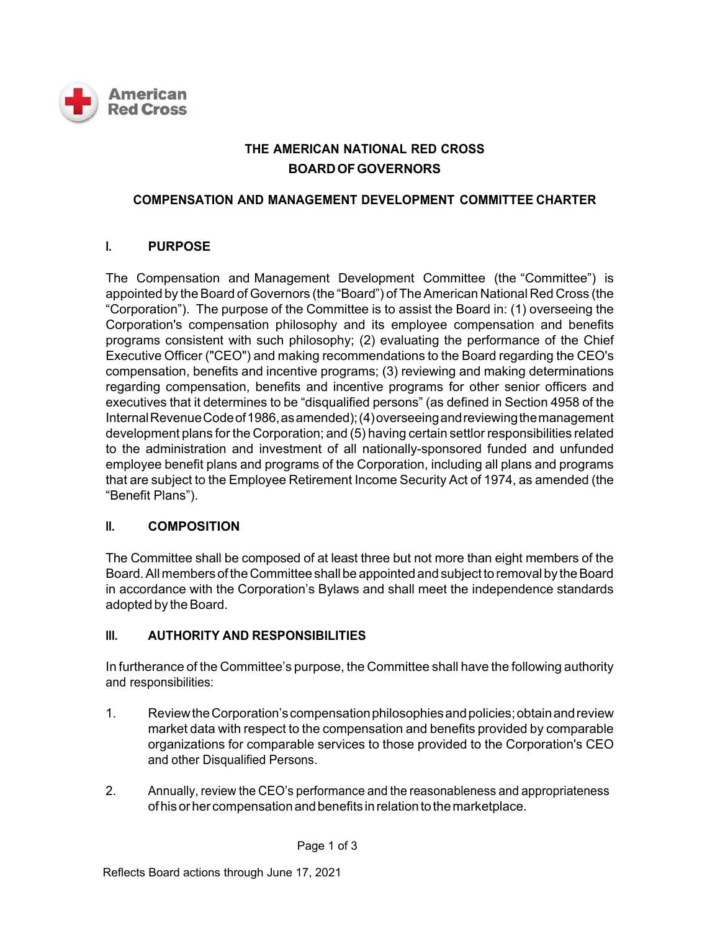

# **THE AMERICAN NATIONAL RED CROSS BOARD OF GOVERNORS**

### **COMPENSATION AND MANAGEMENT DEVELOPMENT COMMITTEE CHARTER**

## **I. PURPOSE**

The Compensation and Management Development Committee (the "Committee") is appointed by the Board of Governors (the "Board") of The American National Red Cross (the "Corporation"). The purpose of the Committee is to assist the Board in: (1) overseeing the Corporation's compensation philosophy and its employee compensation and benefits programs consistent with such philosophy; (2) evaluating the performance of the Chief Executive Officer ("CEO") and making recommendations to the Board regarding the CEO's compensation, benefits and incentive programs; (3) reviewing and making determinations regarding compensation, benefits and incentive programs for other senior officers and executives that it determines to be "disqualified persons" (as defined in Section 4958 of the Internal Revenue Code of 1986, as amended); (4) overseeing and reviewing the management development plans for the Corporation; and (5) having certain settlor responsibilities related to the administration and investment of all nationally-sponsored funded and unfunded employee benefit plans and programs of the Corporation, including all plans and programs that are subject to the Employee Retirement Income Security Act of 1974, as amended (the "Benefit Plans").

## **II. COMPOSITION**

The Committee shall be composed of at least three but not more than eight members of the Board. All members of the Committee shall be appointed and subject to removal by the Board in accordance with the Corporation's Bylaws and shall meet the independence standards adopted by the Board.

## **III. AUTHORITY AND RESPONSIBILITIES**

In furtherance of the Committee's purpose, the Committee shall have the following authority and responsibilities:

- 1. Review the Corporation's compensation philosophies and policies; obtain and review market data with respect to the compensation and benefits provided by comparable organizations for comparable services to those provided to the Corporation's CEO and other Disqualified Persons.
- 2. Annually, review the CEO's performance and the reasonableness and appropriateness of his or her compensation and benefits in relation to the marketplace.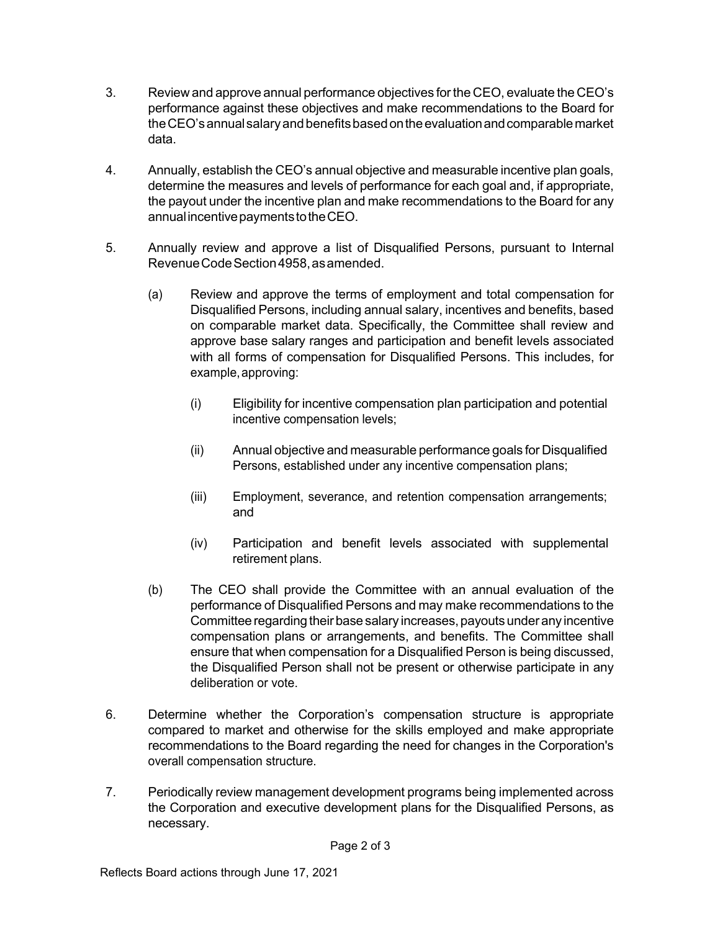- 3. Review and approve annual performance objectives for the CEO, evaluate the CEO's performance against these objectives and make recommendations to the Board for the CEO's annual salary and benefits based on the evaluation and comparable market data.
- 4. Annually, establish the CEO's annual objective and measurable incentive plan goals, determine the measures and levels of performance for each goal and, if appropriate, the payout under the incentive plan and make recommendations to the Board for any annual incentive payments to the CEO.
- 5. Annually review and approve a list of Disqualified Persons, pursuant to Internal Revenue Code Section 4958, as amended.
	- (a) Review and approve the terms of employment and total compensation for Disqualified Persons, including annual salary, incentives and benefits, based on comparable market data. Specifically, the Committee shall review and approve base salary ranges and participation and benefit levels associated with all forms of compensation for Disqualified Persons. This includes, for example, approving:
		- (i) Eligibility for incentive compensation plan participation and potential incentive compensation levels;
		- (ii) Annual objective and measurable performance goals for Disqualified Persons, established under any incentive compensation plans;
		- (iii) Employment, severance, and retention compensation arrangements; and
		- (iv) Participation and benefit levels associated with supplemental retirement plans.
	- (b) The CEO shall provide the Committee with an annual evaluation of the performance of Disqualified Persons and may make recommendations to the Committee regarding their base salary increases, payouts under any incentive compensation plans or arrangements, and benefits. The Committee shall ensure that when compensation for a Disqualified Person is being discussed, the Disqualified Person shall not be present or otherwise participate in any deliberation or vote.
- 6. Determine whether the Corporation's compensation structure is appropriate compared to market and otherwise for the skills employed and make appropriate recommendations to the Board regarding the need for changes in the Corporation's overall compensation structure.
- 7. Periodically review management development programs being implemented across the Corporation and executive development plans for the Disqualified Persons, as necessary.